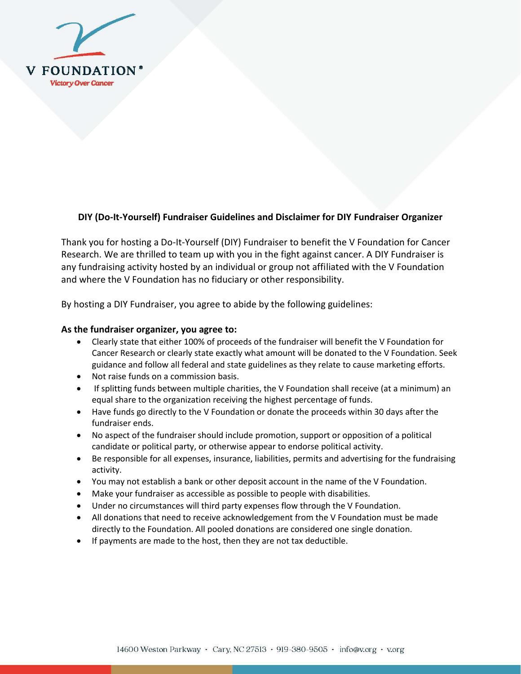

## **DIY (Do-It-Yourself) Fundraiser Guidelines and Disclaimer for DIY Fundraiser Organizer**

Thank you for hosting a Do-It-Yourself (DIY) Fundraiser to benefit the V Foundation for Cancer Research. We are thrilled to team up with you in the fight against cancer. A DIY Fundraiser is any fundraising activity hosted by an individual or group not affiliated with the V Foundation and where the V Foundation has no fiduciary or other responsibility.

By hosting a DIY Fundraiser, you agree to abide by the following guidelines:

## **As the fundraiser organizer, you agree to:**

- Clearly state that either 100% of proceeds of the fundraiser will benefit the V Foundation for Cancer Research or clearly state exactly what amount will be donated to the V Foundation. Seek guidance and follow all federal and state guidelines as they relate to cause marketing efforts.
- Not raise funds on a commission basis.
- If splitting funds between multiple charities, the V Foundation shall receive (at a minimum) an equal share to the organization receiving the highest percentage of funds.
- Have funds go directly to the V Foundation or donate the proceeds within 30 days after the fundraiser ends.
- No aspect of the fundraiser should include promotion, support or opposition of a political candidate or political party, or otherwise appear to endorse political activity.
- Be responsible for all expenses, insurance, liabilities, permits and advertising for the fundraising activity.
- You may not establish a bank or other deposit account in the name of the V Foundation.
- Make your fundraiser as accessible as possible to people with disabilities.
- Under no circumstances will third party expenses flow through the V Foundation.
- All donations that need to receive acknowledgement from the V Foundation must be made directly to the Foundation. All pooled donations are considered one single donation.
- If payments are made to the host, then they are not tax deductible.